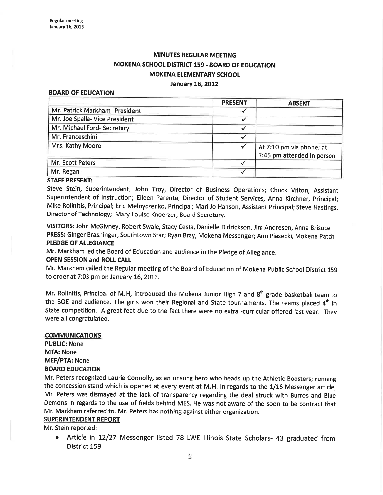# **MINUTES REGULAR MEETING** MOKENA SCHOOL DISTRICT 159 - BOARD OF EDUCATION **MOKENA ELEMENTARY SCHOOL**

#### January 16, 2012

#### BOARD OF EDUCATION

|                                | <b>PRESENT</b> | <b>ABSENT</b>                                          |  |  |
|--------------------------------|----------------|--------------------------------------------------------|--|--|
| Mr. Patrick Markham- President |                |                                                        |  |  |
| Mr. Joe Spalla-Vice President  |                |                                                        |  |  |
| Mr. Michael Ford- Secretary    |                |                                                        |  |  |
| Mr. Franceschini               |                |                                                        |  |  |
| Mrs. Kathy Moore               |                | At 7:10 pm via phone; at<br>7:45 pm attended in person |  |  |
| Mr. Scott Peters               |                |                                                        |  |  |
| Mr. Regan                      |                |                                                        |  |  |

#### STAFF PRESENT:

Steve Stein, Superintendent, John Troy, Director of Business Operations; Chuck Vitton, Assistant Superintendent of lnstruction; Eileen Parente, Director of Student Services, Anna Kirchner, principal; Mike Rolinitis, Principal; Eric Melnyczenko, Principal; MariJo Hanson, Assistant principal; Steve Hastings, Director of Technology; Mary Louise Knoerzer, Board Secretary.

VISITORS: John McGivney, Robert Swale, Stacy Cesta, Danielle Didrickson, Jim Andresen, Anna Brisoce PRESS: Ginger Brashinger, Southtown Star; Ryan Bray, Mokena Messenger; Ann piasecki, Mokena patch PLEDGE OF ALLEGIANCE

Mr. Markham led the Board of Education and audience in the Pledge of Allegiance.

## OPEN SESSION and ROLL CALL

Mr. Markham called the Regular meeting of the Board of Education of Mokena Public School District <sup>159</sup> to order at 7:03 pm on January 16, 2013.

Mr. Rolinitis, Principal of MJH, introduced the Mokena Junior High 7 and 8<sup>th</sup> grade basketball team to the BOE and audience. The girls won their Regional and State tournaments. The teams placed 4<sup>th</sup> in State competition. A great feat due to the fact there were no extra -curricular offered last year. They were all congratulated.

#### COMMUNICATIONS

PUBLIC: None MTA: None MEF/PTA: None BOARD EDUCATION

Mr. Peters recognized Laurie Connolly, as an unsung hero who heads up the Athletic Boosters; running the concession stand which is opened at every event at MJH. ln regards to the 1/16 Messenger article, Mr. Peters was dismayed at the lack of transparency regarding the deal struck with Burros and Blue Demons in regards to the use of fields behind MES. He was not aware of the soon to be contract that Mr. Markham referred to. Mr. Peters has nothing agaínst either organization.

## SUPERINTENDENT REPORT

Mr. Stein reported:

Article in 12/27 Messenger listed 78 LWE Illinois State Scholars- 43 graduated from District 159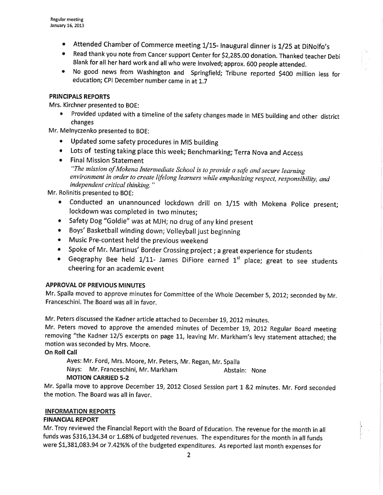- Attended Chamber of Commerce meeting 1/15- Inaugural dinner is 1/25 at DiNolfo's
- o Read thank you note from Cancer support Center for 52,285.00 donation. Thanked teacher Debi Blank for all her hard work and all who were involved; approx. 600 peopte attended.
- No good news from Washington and Springfield; Tribune reported \$400 million less for education; CPI December number came in at 1.7

### PRINCIPALS REPORTS

Mrs. Kirchner presented to BOE:

¡ Provided updated with a timeline of the safety changes made in MES building and other district changes

Mr. Melnyczenko presented to BOE:

- o Updated some safety procedures in MIS building
- . Lots of testing taking place this week; Benchmarking; Terra Nova and Access
- o Final Mission Statement "The mission of Mokena Intermediate School is to provide a sale and secure learning environment in order to create lifelong learners while emphasizing respect, responslbility, and independent critical thinking."

Mr. Rolinitis presented to BOE:

- o Conducted an unannounced lockdown drill on I/I5 with Mokena police present; lockdown was completed in two minutes;
- Safety Dog "Goldie" was at MJH; no drug of any kind present
- Boys' Basketball winding down; Volleyball just beginning
- o Music Pre-contest held the previous weekend
- Spoke of Mr. Martinus' Border Crossing project; a great experience for students
- Geography Bee held  $1/11$  James DiFiore earned  $1<sup>st</sup>$  place; great to see students cheering for an academic event

## **APPROVAL OF PREVIOUS MINUTES**

Mr. Spalla moved to approve minutes for Committee of the Whole December 5,2012; seconded by Mr. Franceschini. The Board was all in favor.

Mr. Peters discussed the Kadner article attached to December 19, 2012 minutes.

Mr. Peters moved to approve the amended minutes of December 19, 2012 Regular Board meeting removing "the Kadner 12/5 excerpts on page 11, leaving Mr. Markham's levy statement attached; the motion was seconded by Mrs. Moore.

**On Roll Call** 

Ayes: Mr. Ford, Mrs. Moore, Mr. peters, Mr. Regan, Mr. Spalla

Nays: Mr. Franceschini, Mr. Markham Abstain: None

## MOTION CARRIED 5-2

Mr. Spalla move to approve December 19, 2012 Closed Session part 1 &2 minutes. Mr. Ford seconded the motion. The Board was all in favor.

#### INFORMATION REPORTS

## **FINANCIAL REPORT**

Mr. Troy reviewed the Financial Report with the Board of Education. The revenue for the month in all funds was \$316,134.34 or 1.68% of budgeted revenues. The expenditures for the month in all funds were 51,381,083.94 or 7.42%% of the budgeted expenditures. As reported last month expenses for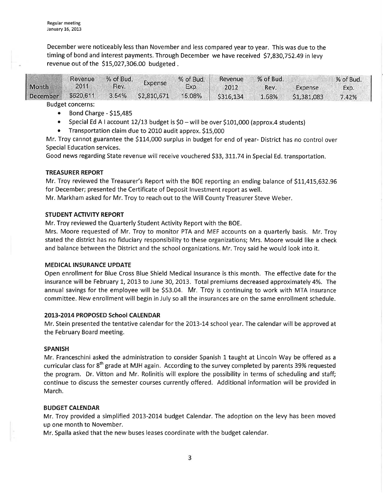December were noticeably less than November and less compared year to year. This was due to the timing of bond and interest payments. Through December we have received \$7,830,752.49 in levy revenue out of the \$15,027,306.00 budgeted.

| <b>Month</b>    | Revenue<br>2011 | % of Bud.<br>Rev. | Expense     | % of Bud.<br>Exp. | Revenue<br>2012 | % of Bud.<br>Rev. | Expense     | % of Bud.<br>Exp. |
|-----------------|-----------------|-------------------|-------------|-------------------|-----------------|-------------------|-------------|-------------------|
| <b>December</b> | \$620,611       | 3.54%             | \$2,810,671 | 15.08%            | \$316,134       | 1.68%             | \$1,381,083 | 7.42%             |

Budget concerns:

- $\bullet$  Bond Charge \$15,485
- Special Ed A I account 12/13 budget is  $$0 -$  will be over  $$101,000$  (approx.4 students)
- o Transportation claim due to 2010 audit approx. StS,000

Mr. Troy cannot guarantee the \$114,000 surplus in budget for end of year- District has no control over Special Education services.

Good news regarding State revenue will receive vouchered \$33, 311.74 in Special Ed. transportation.

## TREASURER REPORT

Mr. Troy reviewed the Treasurer's Report with the BOE reporting an ending balance of \$11,415,632.96 for December; presented the Certificate of Deposit lnvestment report as well.

Mr. Markham asked for Mr. Troy to reach out to the Will County Treasurer Steve Weber.

#### STUDENT ACTIVITY REPORT

Mr. Troy reviewed the Quarterly Student Activity Report with the BOE.

Mrs. Moore requested of Mr. Troy to monitor PTA and MEF accounts on a quarterly basis. Mr. Troy stated the district has no fiduciary responsibility to these organizations; Mrs. Moore would like a check and balance between the District and the school organizations. Mr. Troy said he would look into it.

## MEDICAL INSURANCE UPDATE

Open enrollment for Blue Cross Blue Shield Medical lnsurance is this month. The effective date for the insurance will be February 1, 2013 to June 30, 2013. Total premiums decreased approximately 4%. The annual savings for the employee will be \$53.04. Mr. Troy is continuing to work with MTA insurance committee. New enrollment will begin in July so all the insurances are on the same enrollment schedule.

#### 2013-2014 PROPOSED School CALENDAR

Mr. Stein presented the tentative calendar for the 2013-14 school year. The calendar will be approved at the February Board meeting.

#### SPANISH

Mr. Franceschini asked the administration to consider Spanish 1 taught at Lincoln Way be offered as <sup>a</sup> curricular class for 8<sup>th</sup> grade at MJH again. According to the survey completed by parents 39% requested the program. Dr. Vitton and Mr. Rolinitis will explore the possibility in terms of scheduling and staff; continue to discuss the semester courses currently offered. Additional information will be provided in March.

## BUDGET CALENDAR

Mr. Troy provided a simplified 2013-2014 budget Calendar. The adoption on the levy has been moved up one month to November.

Mr. Spalla asked that the new buses leases coordinate with the budget calendar.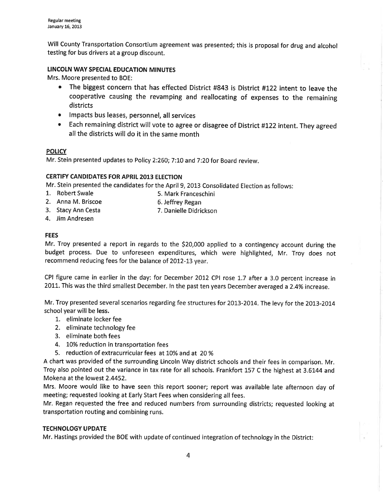Will County Transportation Consortium agreement was presented; this is proposal for drug and alcohol testing for bus drivers at a group discount.

## LINCOLN WAY SPECIAL EDUCATION MINUTES

Mrs. Moore presented to BOE:

- The biggest concern that has effected District #843 is District #122 intent to leave the cooperative causing the revamping and reallocating of expenses to the remaining districts
- . lmpacts bus leases, personnel, all services
- ¡ Each remaining district will vote to agree or disagree of District #122 intent. They agreed all the districts will do it in the same month

## **POLICY**

Mr. Stein presented updates to Policy 2:260; 7:10 and 7:20 for Board review.

## CERTIFY CANDIDATES FOR APRIL 2013 ELECTION

Mr. Stein presented the candidates for the April 9,2013 Consolidated Election as follows:

- 1. Robert Swale 5. Mark Franceschini
- 2. Anna M. Briscoe 6. Jeffrey Regan
- 3. Stacy Ann Cesta 7. Danielle Didrickson
- 4. Jim Andresen

## FEES

Mr. Troy presented a report in regards to the 520,000 applied to a contingency account during the budget process. Due to unforeseen expenditures, which were highlighted, Mr. Troy does not recommend reducing fees for the balance of 2012-13 year.

CPI figure came in earlier in the day: for December 2012 CPI rose 1.7 after a 3.0 percent increase in 2011. This was the third smallest December. In the past ten years December averaged a 2.4% increase.

Mr. Troy presented several scenarios regarding fee structures for 2013-2014. The levy for the 2013-2014 school year will be less.

- 1. eliminate locker fee
- 2. eliminate technology fee
- 3. eliminate both fees
- 4. 10% reduction in transportation fees
- 5. reduction of extracurricular fees at 10% and at 20 %

A chart was provided of the surrounding Lincoln Way district schools and their fees in comparison. Mr. Troy also pointed out the variance in tax rate for all schools. Frankfort 157 C the highest at 3.6144 and Mokena at the lowest 2.4452.

Mrs. Moore would like to have seen this report sooner; report was available late afternoon day of meeting; requested looking at Early Start Fees when considering all fees.

Mr. Regan requested the free and reduced numbers from surrounding districts; requested looking at transportation routing and combining runs.

## **TECHNOLOGY UPDATE**

Mr. Hastings provided the BOE with update of continued integration of technology in the District: